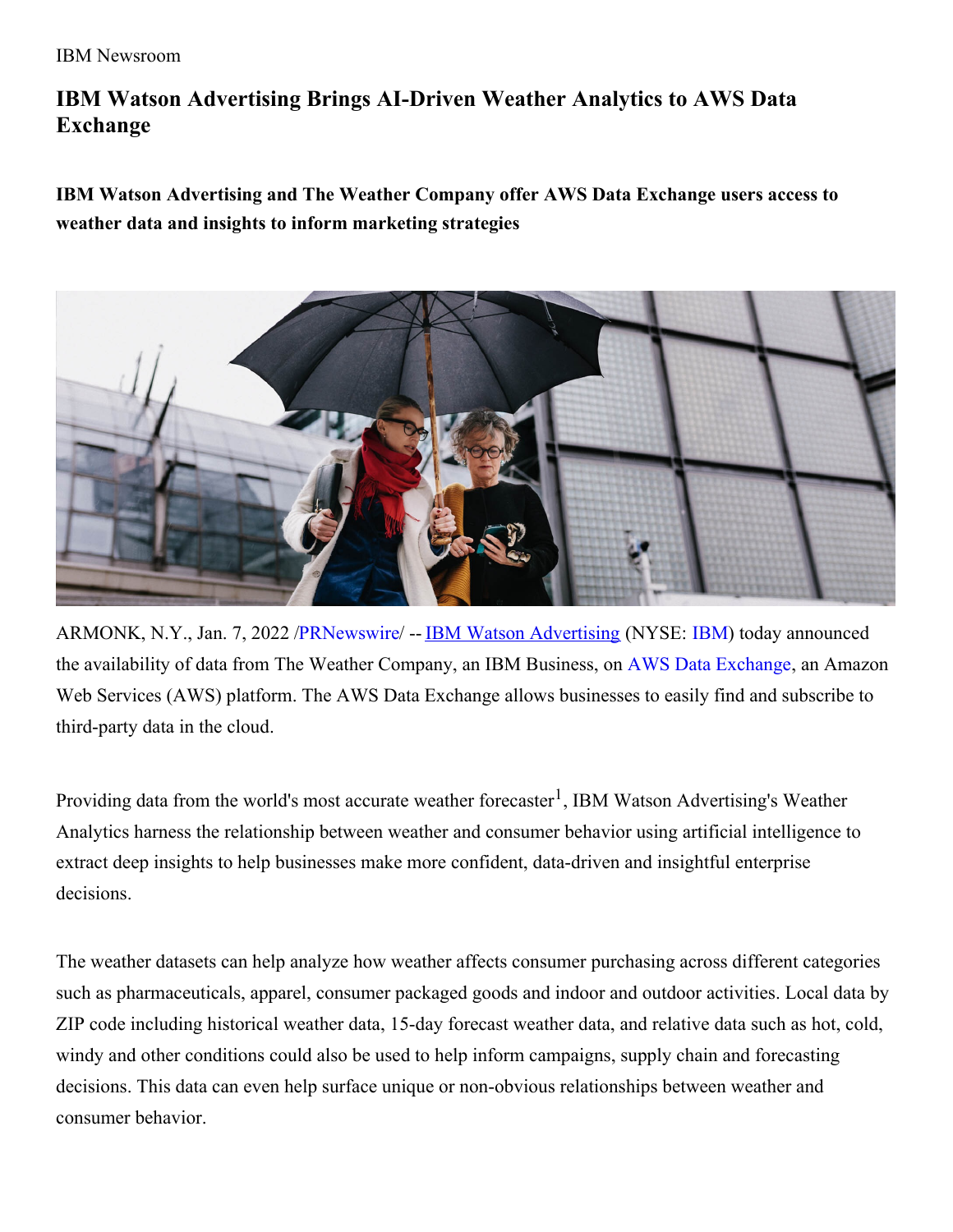## **IBM Watson Advertising Brings AI-Driven Weather Analytics to AWS Data Exchange**

**IBM Watson Advertising and The Weather Company offer AWS Data Exchange users access to weather data and insights to inform marketing strategies**



ARMONK, N.Y., Jan. 7, 2022 [/PRNewswire](http://www.prnewswire.com/)/ -- **IBM Watson [Advertising](https://c212.net/c/link/?t=0&l=en&o=3405790-1&h=2747117541&u=https%3A%2F%2Fwww.ibm.com%2Fwatson-advertising&a=IBM+Watson+Advertising) (NYSE: [IBM](https://c212.net/c/link/?t=0&l=en&o=3405790-1&h=1542019204&u=https%3A%2F%2Fc212.net%2Fc%2Flink%2F%3Ft%3D0%26l%3Den%26o%3D2939533-1%26h%3D1732405095%26u%3Dhttps%253A%252F%252Fwww.ibm.com%252Finvestor%26a%3DIBM&a=IBM))** today announced the availability of data from The Weather Company, an IBM Business, on AWS Data [Exchange](https://c212.net/c/link/?t=0&l=en&o=3405790-1&h=206502556&u=https%3A%2F%2Faws.amazon.com%2Fdata-exchange%2F&a=AWS+Data+Exchange), an Amazon Web Services (AWS) platform. The AWS Data Exchange allows businesses to easily find and subscribe to third-party data in the cloud.

Providing data from the world's most accurate weather forecaster<sup>1</sup>, IBM Watson Advertising's Weather Analytics harness the relationship between weather and consumer behavior using artificial intelligence to extract deep insights to help businesses make more confident, data-driven and insightful enterprise decisions.

The weather datasets can help analyze how weather affects consumer purchasing across different categories such as pharmaceuticals, apparel, consumer packaged goods and indoor and outdoor activities. Local data by ZIP code including historical weather data, 15-day forecast weather data, and relative data such as hot, cold, windy and other conditions could also be used to help inform campaigns, supply chain and forecasting decisions. This data can even help surface unique or non-obvious relationships between weather and consumer behavior.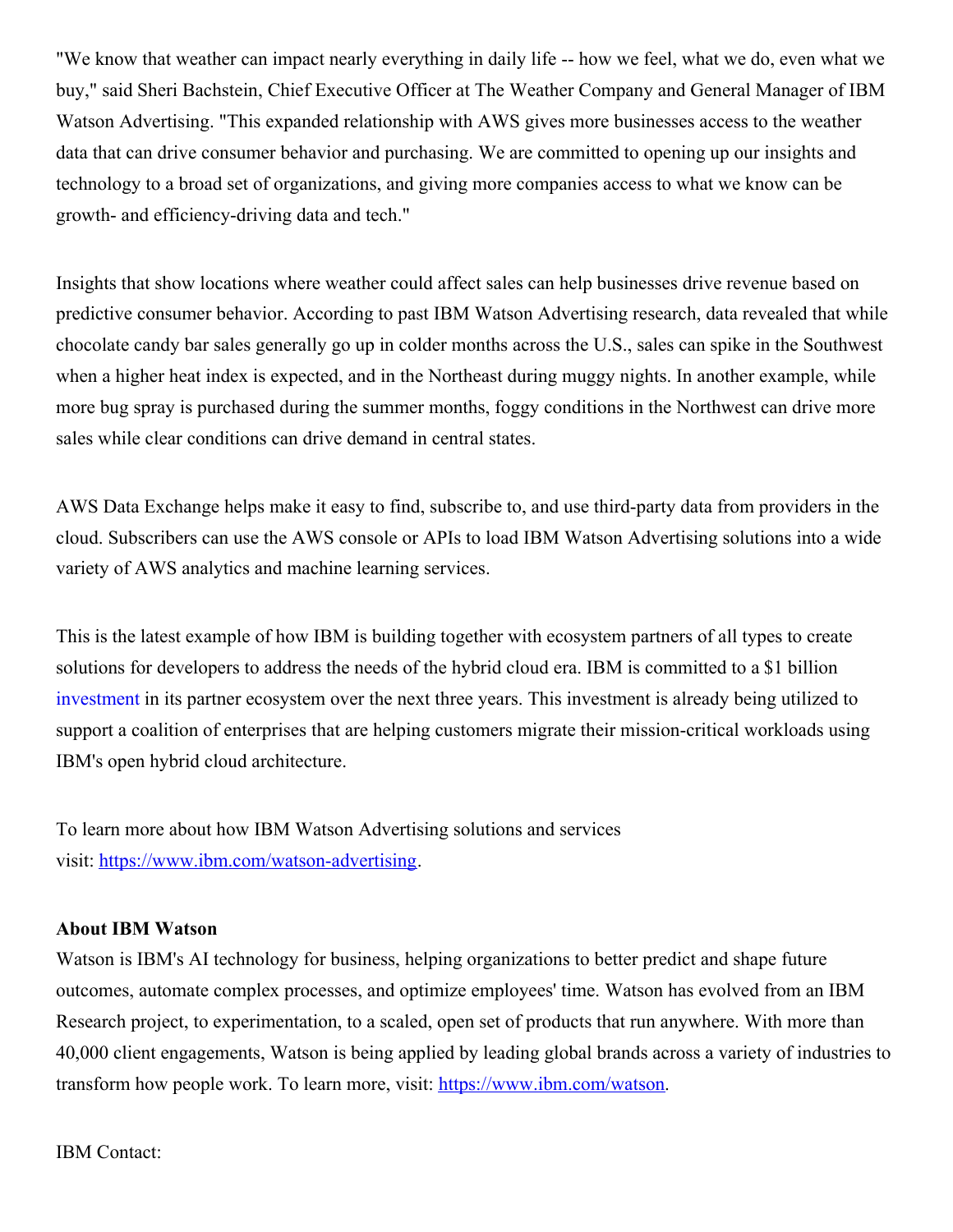"We know that weather can impact nearly everything in daily life -- how we feel, what we do, even what we buy," said Sheri Bachstein, Chief Executive Officer at The Weather Company and General Manager of IBM Watson Advertising. "This expanded relationship with AWS gives more businesses access to the weather data that can drive consumer behavior and purchasing. We are committed to opening up our insights and technology to a broad set of organizations, and giving more companies access to what we know can be growth- and efficiency-driving data and tech."

Insights that show locations where weather could affect sales can help businesses drive revenue based on predictive consumer behavior. According to past IBM Watson Advertising research, data revealed that while chocolate candy bar sales generally go up in colder months across the U.S., sales can spike in the Southwest when a higher heat index is expected, and in the Northeast during muggy nights. In another example, while more bug spray is purchased during the summer months, foggy conditions in the Northwest can drive more sales while clear conditions can drive demand in central states.

AWS Data Exchange helps make it easy to find, subscribe to, and use third-party data from providers in the cloud. Subscribers can use the AWS console or APIs to load IBM Watson Advertising solutions into a wide variety of AWS analytics and machine learning services.

This is the latest example of how IBM is building together with ecosystem partners of all types to create solutions for developers to address the needs of the hybrid cloud era. IBM is committed to a \$1 billion [investment](https://c212.net/c/link/?t=0&l=en&o=3405790-1&h=1691684462&u=https%3A%2F%2Fnewsroom.ibm.com%2FIts-Here-2020-IBM-Annual-Report&a=investment) in its partner ecosystem over the next three years. This investment is already being utilized to support a coalition of enterprises that are helping customers migrate their mission-critical workloads using IBM's open hybrid cloud architecture.

To learn more about how IBM Watson Advertising solutions and services visit: [https://www.ibm.com/watson-advertising](https://c212.net/c/link/?t=0&l=en&o=3405790-1&h=2979082719&u=https%3A%2F%2Fwww.ibm.com%2Fwatson-advertising&a=https%3A%2F%2Fwww.ibm.com%2Fwatson-advertising).

## **About IBM Watson**

Watson is IBM's AI technology for business, helping organizations to better predict and shape future outcomes, automate complex processes, and optimize employees' time. Watson has evolved from an IBM Research project, to experimentation, to a scaled, open set of products that run anywhere. With more than 40,000 client engagements, Watson is being applied by leading global brands across a variety of industries to transform how people work. To learn more, visit: [https://www.ibm.com/watson](https://c212.net/c/link/?t=0&l=en&o=3405790-1&h=1906356355&u=https%3A%2F%2Fc212.net%2Fc%2Flink%2F%3Ft%3D0%26l%3Den%26o%3D3136766-1%26h%3D524446166%26u%3Dhttps%253A%252F%252Fwww.ibm.com%252Fwatson%26a%3Dhttps%253A%252F%252Fwww.ibm.com%252Fwatson&a=https%3A%2F%2Fwww.ibm.com%2Fwatson).